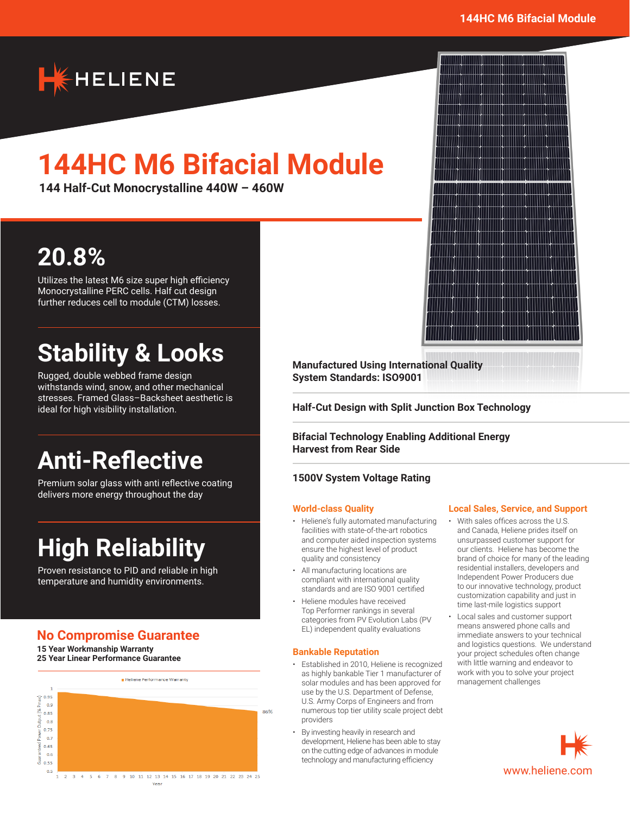

# **144HC M6 Bifacial Module**

**144 Half-Cut Monocrystalline 440W – 460W**

## **20.8%**

Utilizes the latest M6 size super high efficiency Monocrystalline PERC cells. Half cut design further reduces cell to module (CTM) losses.

## **Stability & Looks**

Rugged, double webbed frame design withstands wind, snow, and other mechanical stresses. Framed Glass–Backsheet aesthetic is ideal for high visibility installation.

## **Anti-Reflective**

Premium solar glass with anti reflective coating delivers more energy throughout the day

## **High Reliability**

Proven resistance to PID and reliable in high temperature and humidity environments.

### **No Compromise Guarantee**

**15 Year Workmanship Warranty 25 Year Linear Performance Guarantee**



**Manufactured Using International Quality System Standards: ISO9001**

**Half-Cut Design with Split Junction Box Technology**

**Bifacial Technology Enabling Additional Energy Harvest from Rear Side**

#### **1500V System Voltage Rating**

#### **World-class Quality**

- Heliene's fully automated manufacturing facilities with state-of-the-art robotics and computer aided inspection systems ensure the highest level of product quality and consistency
- All manufacturing locations are compliant with international quality standards and are ISO 9001 certified
- Heliene modules have received Top Performer rankings in several categories from PV Evolution Labs (PV EL) independent quality evaluations

#### **Bankable Reputation**

- Established in 2010, Heliene is recognized as highly bankable Tier 1 manufacturer of solar modules and has been approved for use by the U.S. Department of Defense, U.S. Army Corps of Engineers and from numerous top tier utility scale project debt providers
- By investing heavily in research and development, Heliene has been able to stay on the cutting edge of advances in module technology and manufacturing efficiency

#### **Local Sales, Service, and Support**

- With sales offices across the U.S. and Canada, Heliene prides itself on unsurpassed customer support for our clients. Heliene has become the brand of choice for many of the leading residential installers, developers and Independent Power Producers due to our innovative technology, product customization capability and just in time last-mile logistics support
- Local sales and customer support means answered phone calls and immediate answers to your technical and logistics questions. We understand your project schedules often change with little warning and endeavor to work with you to solve your project management challenges